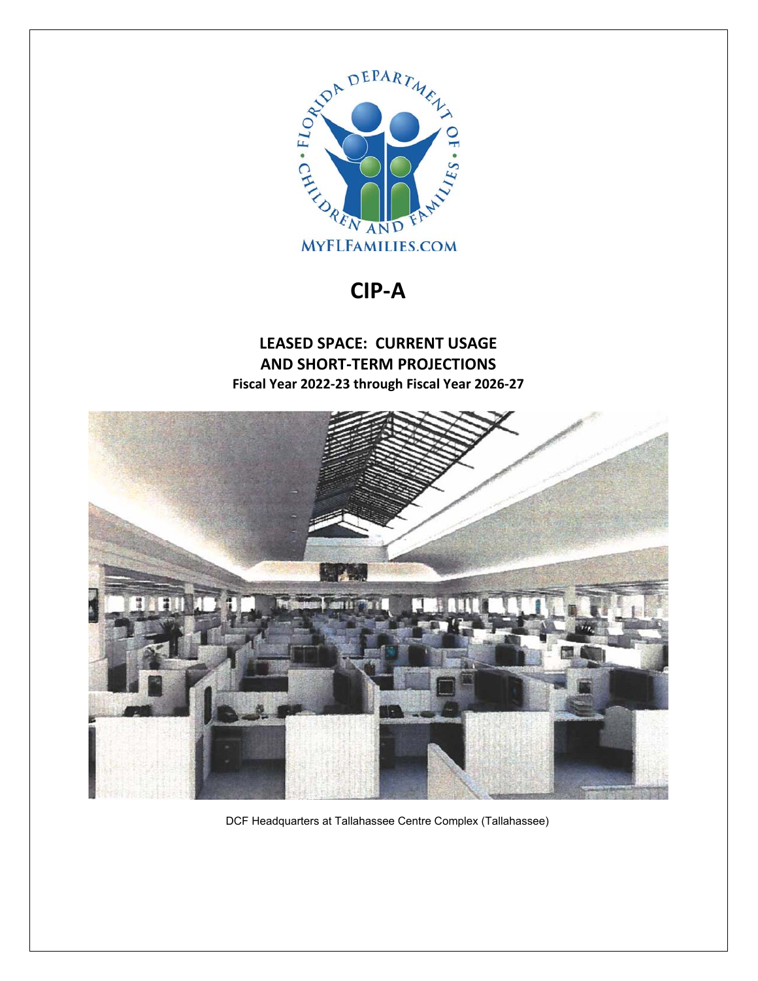

**CIP‐A** 

## **LEASED SPACE: CURRENT USAGE AND SHORT‐TERM PROJECTIONS Fiscal Year 2022‐23 through Fiscal Year 2026‐27**



DCF Headquarters at Tallahassee Centre Complex (Tallahassee)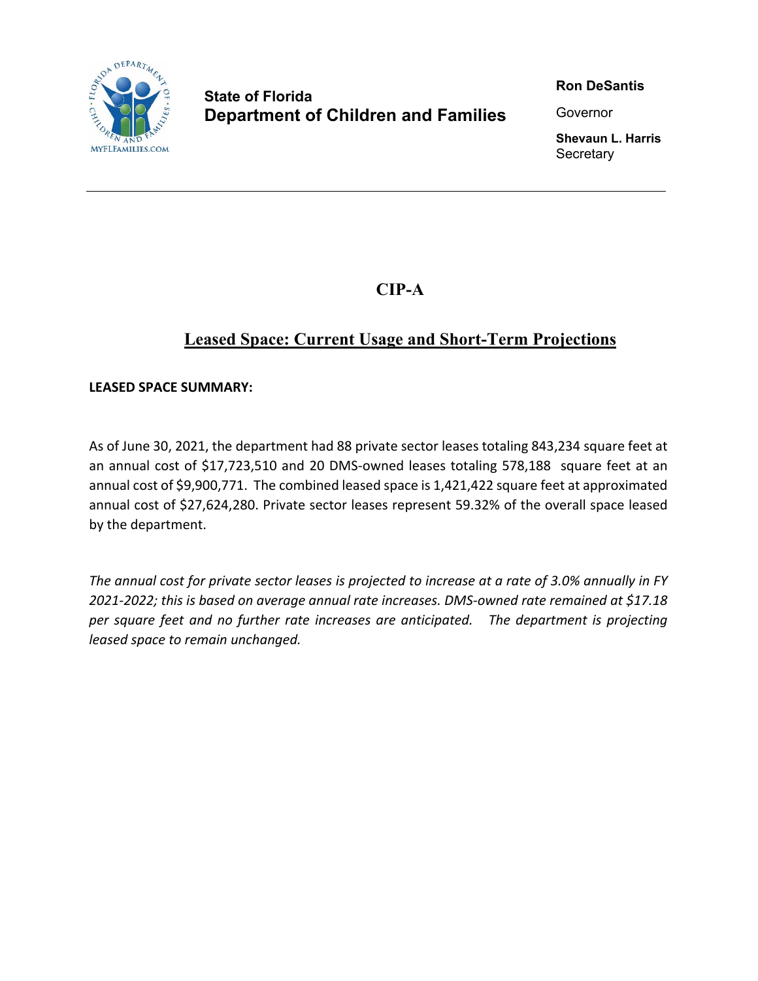

## **State of Florida Department of Children and Families**

**Ron DeSantis** 

Governor

**Shevaun L. Harris Secretary** 

**CIP-A** 

## **Leased Space: Current Usage and Short-Term Projections**

**LEASED SPACE SUMMARY:** 

As of June 30, 2021, the department had 88 private sector leases totaling 843,234 square feet at an annual cost of \$17,723,510 and 20 DMS-owned leases totaling 578,188 square feet at an annual cost of \$9,900,771. The combined leased space is 1,421,422 square feet at approximated annual cost of \$27,624,280. Private sector leases represent 59.32% of the overall space leased by the department.

*The annual cost for private sector leases is projected to increase at a rate of 3.0% annually in FY 2021‐2022; this is based on average annual rate increases. DMS‐owned rate remained at \$17.18 per square feet and no further rate increases are anticipated. The department is projecting leased space to remain unchanged.*